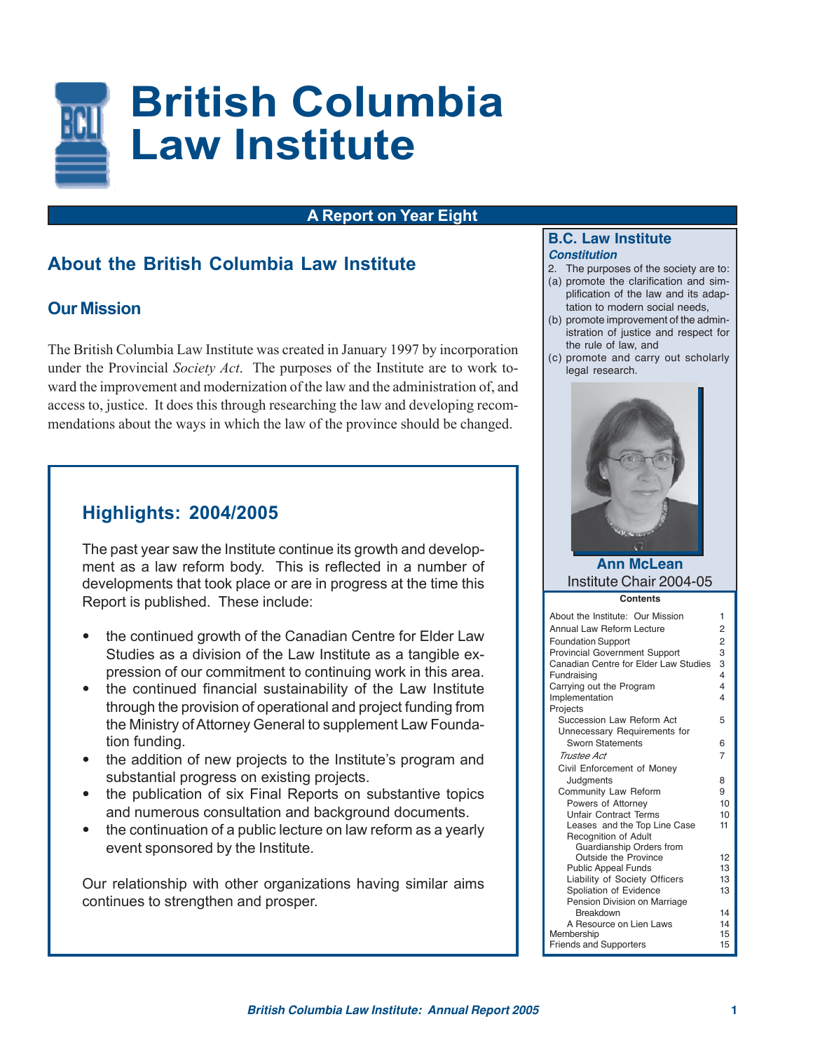

### **A Report on Year Eight**

# **About the British Columbia Law Institute**

# **Our Mission**

The British Columbia Law Institute was created in January 1997 by incorporation under the Provincial *Society Act*. The purposes of the Institute are to work toward the improvement and modernization of the law and the administration of, and access to, justice. It does this through researching the law and developing recommendations about the ways in which the law of the province should be changed.

# **Highlights: 2004/2005**

The past year saw the Institute continue its growth and development as a law reform body. This is reflected in a number of developments that took place or are in progress at the time this Report is published. These include:

- **•** the continued growth of the Canadian Centre for Elder Law Studies as a division of the Law Institute as a tangible expression of our commitment to continuing work in this area.
- **•** the continued financial sustainability of the Law Institute through the provision of operational and project funding from the Ministry of Attorney General to supplement Law Foundation funding.
- **•** the addition of new projects to the Institute's program and substantial progress on existing projects.
- **•** the publication of six Final Reports on substantive topics and numerous consultation and background documents.
- **•** the continuation of a public lecture on law reform as a yearly event sponsored by the Institute.

Our relationship with other organizations having similar aims continues to strengthen and prosper.

### **B.C. Law Institute Constitution**

- 2. The purposes of the society are to:
- (a) promote the clarification and simplification of the law and its adaptation to modern social needs,
- (b) promote improvement of the administration of justice and respect for the rule of law, and
- (c) promote and carry out scholarly legal research.



### **Ann McLean** Institute Chair 2004-05

| About the Institute: Our Mission                 | 1                       |
|--------------------------------------------------|-------------------------|
| Annual Law Reform Lecture                        | 2                       |
| <b>Foundation Support</b>                        | $\overline{2}$          |
| <b>Provincial Government Support</b>             | 3                       |
| Canadian Centre for Elder Law Studies            | 3                       |
| Fundraising                                      | 4                       |
| Carrying out the Program                         | $\overline{\mathbf{4}}$ |
| Implementation                                   | 4                       |
| Projects                                         |                         |
| Succession Law Reform Act                        | 5                       |
| Unnecessary Requirements for                     |                         |
| <b>Sworn Statements</b>                          | 6                       |
| Trustee Act                                      | 7                       |
| Civil Enforcement of Money                       |                         |
| Judgments                                        | 8                       |
| Community Law Reform                             | 9                       |
| Powers of Attorney                               | 10                      |
| <b>Unfair Contract Terms</b>                     | 10                      |
| Leases and the Top Line Case                     | 11                      |
| Recognition of Adult<br>Guardianship Orders from |                         |
| Outside the Province                             | 12                      |
| <b>Public Appeal Funds</b>                       | 13                      |
| Liability of Society Officers                    | 13                      |
| Spoliation of Evidence                           | 13                      |
| Pension Division on Marriage                     |                         |
| <b>Breakdown</b>                                 | 14                      |
| A Resource on Lien Laws                          | 14                      |
| Membership                                       | 15                      |
| <b>Friends and Supporters</b>                    | 15                      |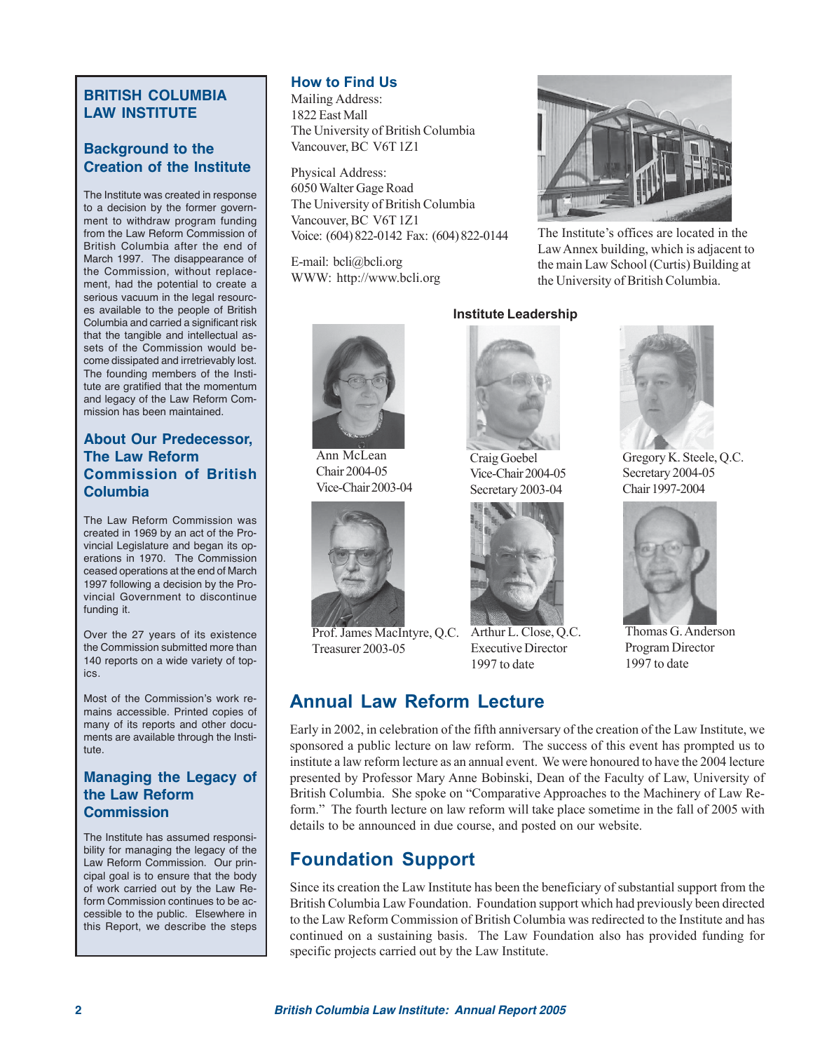# **BRITISH COLUMBIA LAW INSTITUTE**

# **Background to the Creation of the Institute**

The Institute was created in response to a decision by the former government to withdraw program funding from the Law Reform Commission of British Columbia after the end of March 1997. The disappearance of the Commission, without replacement, had the potential to create a serious vacuum in the legal resources available to the people of British Columbia and carried a significant risk that the tangible and intellectual assets of the Commission would become dissipated and irretrievably lost. The founding members of the Institute are gratified that the momentum and legacy of the Law Reform Commission has been maintained.

### **About Our Predecessor, The Law Reform Commission of British Columbia**

The Law Reform Commission was created in 1969 by an act of the Provincial Legislature and began its operations in 1970. The Commission ceased operations at the end of March 1997 following a decision by the Provincial Government to discontinue funding it.

Over the 27 years of its existence the Commission submitted more than 140 reports on a wide variety of topics.

Most of the Commission's work remains accessible. Printed copies of many of its reports and other documents are available through the Institute.

# **Managing the Legacy of the Law Reform Commission**

The Institute has assumed responsibility for managing the legacy of the Law Reform Commission. Our principal goal is to ensure that the body of work carried out by the Law Reform Commission continues to be accessible to the public. Elsewhere in this Report, we describe the steps

# **How to Find Us**

Mailing Address: 1822 East Mall The University of British Columbia Vancouver, BC V6T 1Z1

Physical Address: 6050 Walter Gage Road The University of British Columbia Vancouver, BC V6T 1Z1 Voice: (604) 822-0142 Fax: (604) 822-0144

E-mail: bcli@bcli.org WWW: http://www.bcli.org



The Institute's offices are located in the Law Annex building, which is adjacent to the main Law School (Curtis) Building at the University of British Columbia.

Gregory K. Steele, Q.C. Secretary 2004-05 Chair 1997-2004

Thomas G. Anderson Program Director 1997 to date

#### **Institute Leadership**



Ann McLean Chair 2004-05 Vice-Chair 2003-04



Prof. James MacIntyre, Q.C. Treasurer 2003-05



Craig Goebel Vice-Chair 2004-05 Secretary 2003-04



Arthur L. Close, Q.C. Executive Director 1997 to date

# **Annual Law Reform Lecture**

Early in 2002, in celebration of the fifth anniversary of the creation of the Law Institute, we sponsored a public lecture on law reform. The success of this event has prompted us to institute a law reform lecture as an annual event. We were honoured to have the 2004 lecture presented by Professor Mary Anne Bobinski, Dean of the Faculty of Law, University of British Columbia. She spoke on "Comparative Approaches to the Machinery of Law Reform." The fourth lecture on law reform will take place sometime in the fall of 2005 with details to be announced in due course, and posted on our website.

# **Foundation Support**

Since its creation the Law Institute has been the beneficiary of substantial support from the British Columbia Law Foundation. Foundation support which had previously been directed to the Law Reform Commission of British Columbia was redirected to the Institute and has continued on a sustaining basis. The Law Foundation also has provided funding for specific projects carried out by the Law Institute.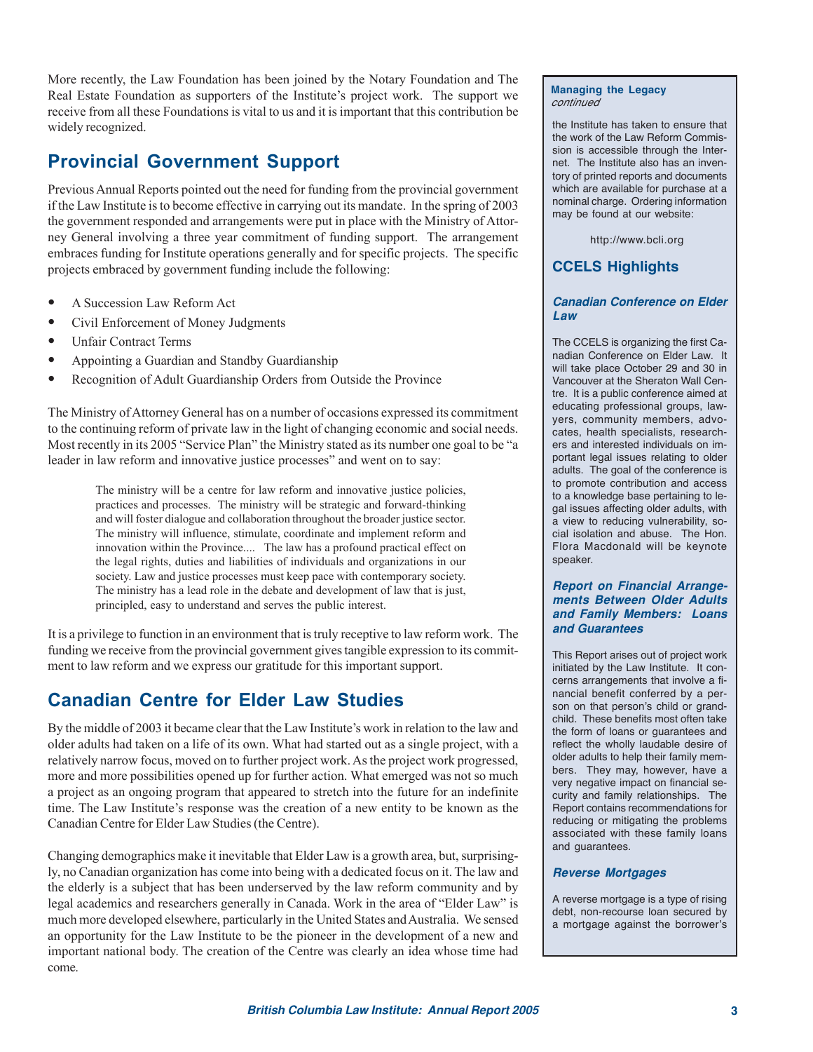More recently, the Law Foundation has been joined by the Notary Foundation and The Real Estate Foundation as supporters of the Institute's project work. The support we receive from all these Foundations is vital to us and it is important that this contribution be widely recognized.

# **Provincial Government Support**

Previous Annual Reports pointed out the need for funding from the provincial government if the Law Institute is to become effective in carrying out its mandate. In the spring of 2003 the government responded and arrangements were put in place with the Ministry of Attorney General involving a three year commitment of funding support. The arrangement embraces funding for Institute operations generally and for specific projects. The specific projects embraced by government funding include the following:

- **•** A Succession Law Reform Act
- **•** Civil Enforcement of Money Judgments
- **•** Unfair Contract Terms
- **•** Appointing a Guardian and Standby Guardianship
- **•** Recognition of Adult Guardianship Orders from Outside the Province

The Ministry of Attorney General has on a number of occasions expressed its commitment to the continuing reform of private law in the light of changing economic and social needs. Most recently in its 2005 "Service Plan" the Ministry stated as its number one goal to be "a leader in law reform and innovative justice processes" and went on to say:

> The ministry will be a centre for law reform and innovative justice policies, practices and processes. The ministry will be strategic and forward-thinking and will foster dialogue and collaboration throughout the broader justice sector. The ministry will influence, stimulate, coordinate and implement reform and innovation within the Province.... The law has a profound practical effect on the legal rights, duties and liabilities of individuals and organizations in our society. Law and justice processes must keep pace with contemporary society. The ministry has a lead role in the debate and development of law that is just, principled, easy to understand and serves the public interest.

It is a privilege to function in an environment that is truly receptive to law reform work. The funding we receive from the provincial government gives tangible expression to its commitment to law reform and we express our gratitude for this important support.

# **Canadian Centre for Elder Law Studies**

By the middle of 2003 it became clear that the Law Institute's work in relation to the law and older adults had taken on a life of its own. What had started out as a single project, with a relatively narrow focus, moved on to further project work. As the project work progressed, more and more possibilities opened up for further action. What emerged was not so much a project as an ongoing program that appeared to stretch into the future for an indefinite time. The Law Institute's response was the creation of a new entity to be known as the Canadian Centre for Elder Law Studies (the Centre).

Changing demographics make it inevitable that Elder Law is a growth area, but, surprisingly, no Canadian organization has come into being with a dedicated focus on it. The law and the elderly is a subject that has been underserved by the law reform community and by legal academics and researchers generally in Canada. Work in the area of "Elder Law" is much more developed elsewhere, particularly in the United States and Australia. We sensed an opportunity for the Law Institute to be the pioneer in the development of a new and important national body. The creation of the Centre was clearly an idea whose time had come.

#### **Managing the Legacy** continued

the Institute has taken to ensure that the work of the Law Reform Commission is accessible through the Internet. The Institute also has an inventory of printed reports and documents which are available for purchase at a nominal charge. Ordering information may be found at our website:

http://www.bcli.org

# **CCELS Highlights**

#### **Canadian Conference on Elder Law**

The CCELS is organizing the first Canadian Conference on Elder Law. It will take place October 29 and 30 in Vancouver at the Sheraton Wall Centre. It is a public conference aimed at educating professional groups, lawyers, community members, advocates, health specialists, researchers and interested individuals on important legal issues relating to older adults. The goal of the conference is to promote contribution and access to a knowledge base pertaining to legal issues affecting older adults, with a view to reducing vulnerability, social isolation and abuse. The Hon. Flora Macdonald will be keynote speaker.

#### **Report on Financial Arrangements Between Older Adults and Family Members: Loans and Guarantees**

This Report arises out of project work initiated by the Law Institute. It concerns arrangements that involve a financial benefit conferred by a person on that person's child or grandchild. These benefits most often take the form of loans or guarantees and reflect the wholly laudable desire of older adults to help their family members. They may, however, have a very negative impact on financial security and family relationships. The Report contains recommendations for reducing or mitigating the problems associated with these family loans and guarantees.

#### **Reverse Mortgages**

A reverse mortgage is a type of rising debt, non-recourse loan secured by a mortgage against the borrower's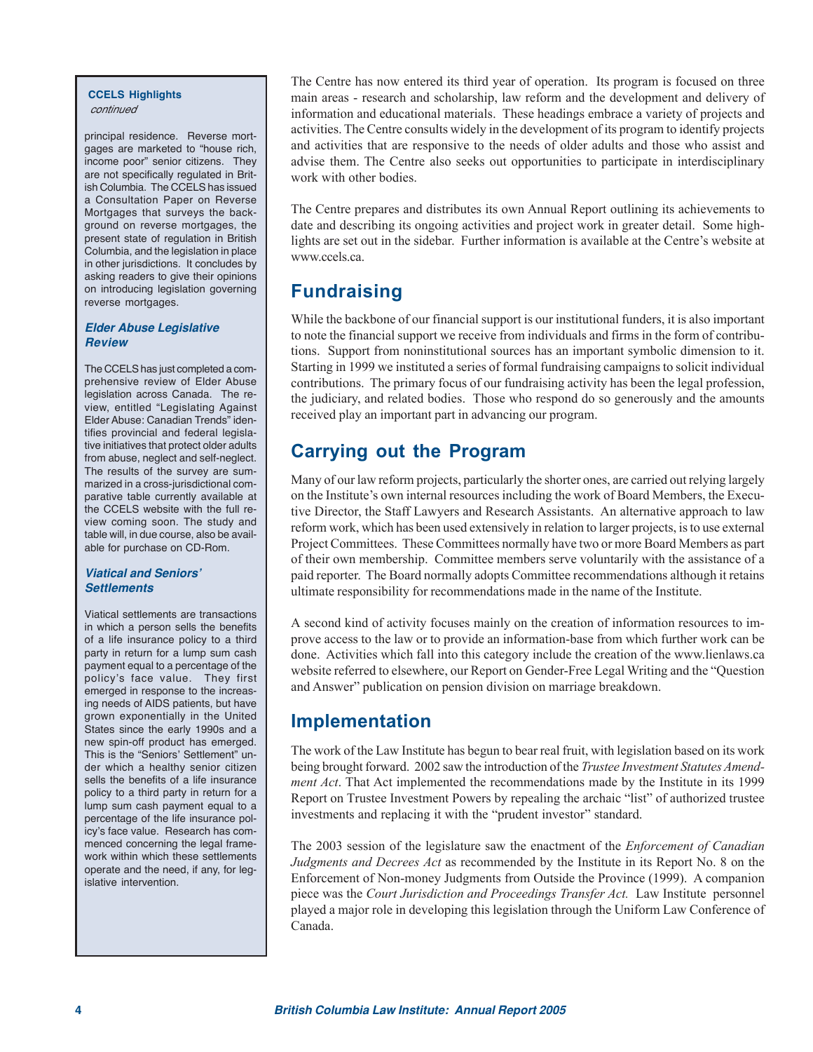#### **CCELS Highlights** continued

principal residence. Reverse mortgages are marketed to "house rich, income poor" senior citizens. They are not specifically regulated in British Columbia. The CCELS has issued a Consultation Paper on Reverse Mortgages that surveys the background on reverse mortgages, the present state of regulation in British Columbia, and the legislation in place in other jurisdictions. It concludes by asking readers to give their opinions on introducing legislation governing reverse mortgages.

#### **Elder Abuse Legislative Review**

The CCELS has just completed a comprehensive review of Elder Abuse legislation across Canada. The review, entitled "Legislating Against Elder Abuse: Canadian Trends" identifies provincial and federal legislative initiatives that protect older adults from abuse, neglect and self-neglect. The results of the survey are summarized in a cross-jurisdictional comparative table currently available at the CCELS website with the full review coming soon. The study and table will, in due course, also be available for purchase on CD-Rom.

#### **Viatical and Seniors' Settlements**

Viatical settlements are transactions in which a person sells the benefits of a life insurance policy to a third party in return for a lump sum cash payment equal to a percentage of the policy's face value. They first emerged in response to the increasing needs of AIDS patients, but have grown exponentially in the United States since the early 1990s and a new spin-off product has emerged. This is the "Seniors' Settlement" under which a healthy senior citizen sells the benefits of a life insurance policy to a third party in return for a lump sum cash payment equal to a percentage of the life insurance policy's face value. Research has commenced concerning the legal framework within which these settlements operate and the need, if any, for legislative intervention.

The Centre has now entered its third year of operation. Its program is focused on three main areas - research and scholarship, law reform and the development and delivery of information and educational materials. These headings embrace a variety of projects and activities. The Centre consults widely in the development of its program to identify projects and activities that are responsive to the needs of older adults and those who assist and advise them. The Centre also seeks out opportunities to participate in interdisciplinary work with other bodies.

The Centre prepares and distributes its own Annual Report outlining its achievements to date and describing its ongoing activities and project work in greater detail. Some highlights are set out in the sidebar. Further information is available at the Centre's website at www.ccels.ca.

# **Fundraising**

While the backbone of our financial support is our institutional funders, it is also important to note the financial support we receive from individuals and firms in the form of contributions. Support from noninstitutional sources has an important symbolic dimension to it. Starting in 1999 we instituted a series of formal fundraising campaigns to solicit individual contributions. The primary focus of our fundraising activity has been the legal profession, the judiciary, and related bodies. Those who respond do so generously and the amounts received play an important part in advancing our program.

# **Carrying out the Program**

Many of our law reform projects, particularly the shorter ones, are carried out relying largely on the Institute's own internal resources including the work of Board Members, the Executive Director, the Staff Lawyers and Research Assistants. An alternative approach to law reform work, which has been used extensively in relation to larger projects, is to use external Project Committees. These Committees normally have two or more Board Members as part of their own membership. Committee members serve voluntarily with the assistance of a paid reporter. The Board normally adopts Committee recommendations although it retains ultimate responsibility for recommendations made in the name of the Institute.

A second kind of activity focuses mainly on the creation of information resources to improve access to the law or to provide an information-base from which further work can be done. Activities which fall into this category include the creation of the www.lienlaws.ca website referred to elsewhere, our Report on Gender-Free Legal Writing and the "Question and Answer" publication on pension division on marriage breakdown.

# **Implementation**

The work of the Law Institute has begun to bear real fruit, with legislation based on its work being brought forward. 2002 saw the introduction of the *Trustee Investment Statutes Amendment Act*. That Act implemented the recommendations made by the Institute in its 1999 Report on Trustee Investment Powers by repealing the archaic "list" of authorized trustee investments and replacing it with the "prudent investor" standard.

The 2003 session of the legislature saw the enactment of the *Enforcement of Canadian Judgments and Decrees Act* as recommended by the Institute in its Report No. 8 on the Enforcement of Non-money Judgments from Outside the Province (1999). A companion piece was the *Court Jurisdiction and Proceedings Transfer Act.* Law Institute personnel played a major role in developing this legislation through the Uniform Law Conference of Canada.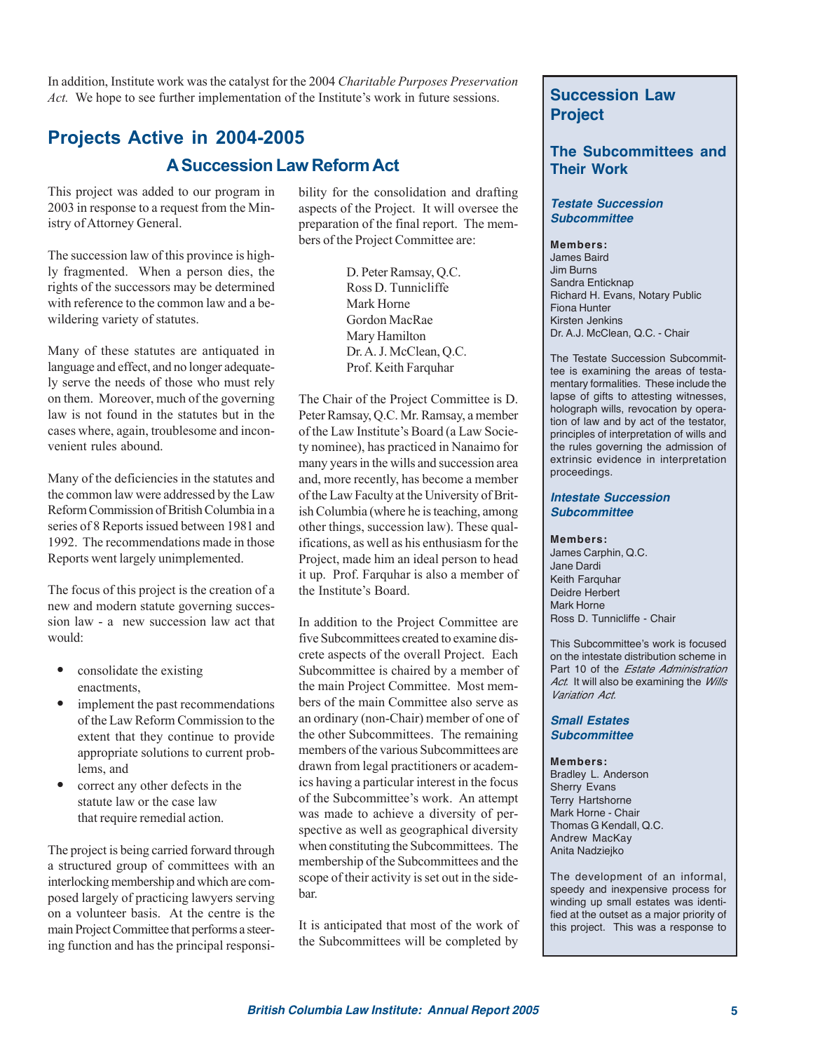In addition, Institute work was the catalyst for the 2004 *Charitable Purposes Preservation Act.* We hope to see further implementation of the Institute's work in future sessions. **Succession Law** 

# **Projects Active in 2004-2005 A Succession Law Reform Act**

This project was added to our program in 2003 in response to a request from the Ministry of Attorney General.

The succession law of this province is highly fragmented. When a person dies, the rights of the successors may be determined with reference to the common law and a bewildering variety of statutes.

Many of these statutes are antiquated in language and effect, and no longer adequately serve the needs of those who must rely on them. Moreover, much of the governing law is not found in the statutes but in the cases where, again, troublesome and inconvenient rules abound.

Many of the deficiencies in the statutes and the common law were addressed by the Law Reform Commission of British Columbia in a series of 8 Reports issued between 1981 and 1992. The recommendations made in those Reports went largely unimplemented.

The focus of this project is the creation of a new and modern statute governing succession law - a new succession law act that would:

- **•** consolidate the existing enactments,
- **•** implement the past recommendations of the Law Reform Commission to the extent that they continue to provide appropriate solutions to current problems, and
- **•** correct any other defects in the statute law or the case law that require remedial action.

The project is being carried forward through a structured group of committees with an interlocking membership and which are composed largely of practicing lawyers serving on a volunteer basis. At the centre is the main Project Committee that performs a steering function and has the principal responsibility for the consolidation and drafting aspects of the Project. It will oversee the preparation of the final report. The members of the Project Committee are:

> D. Peter Ramsay, Q.C. Ross D. Tunnicliffe Mark Horne Gordon MacRae Mary Hamilton Dr. A. J. McClean, Q.C. Prof. Keith Farquhar

The Chair of the Project Committee is D. Peter Ramsay, Q.C. Mr. Ramsay, a member of the Law Institute's Board (a Law Society nominee), has practiced in Nanaimo for many years in the wills and succession area and, more recently, has become a member of the Law Faculty at the University of British Columbia (where he is teaching, among other things, succession law). These qualifications, as well as his enthusiasm for the Project, made him an ideal person to head it up. Prof. Farquhar is also a member of the Institute's Board.

In addition to the Project Committee are five Subcommittees created to examine discrete aspects of the overall Project. Each Subcommittee is chaired by a member of the main Project Committee. Most members of the main Committee also serve as an ordinary (non-Chair) member of one of the other Subcommittees. The remaining members of the various Subcommittees are drawn from legal practitioners or academics having a particular interest in the focus of the Subcommittee's work. An attempt was made to achieve a diversity of perspective as well as geographical diversity when constituting the Subcommittees. The membership of the Subcommittees and the scope of their activity is set out in the sidebar.

It is anticipated that most of the work of the Subcommittees will be completed by

# **Project**

### **The Subcommittees and Their Work**

#### **Testate Succession Subcommittee**

**Members:** James Baird Jim Burns Sandra Enticknap Richard H. Evans, Notary Public Fiona Hunter Kirsten Jenkins Dr. A.J. McClean, Q.C. - Chair

The Testate Succession Subcommittee is examining the areas of testamentary formalities. These include the lapse of gifts to attesting witnesses, holograph wills, revocation by operation of law and by act of the testator, principles of interpretation of wills and the rules governing the admission of extrinsic evidence in interpretation proceedings.

#### **Intestate Succession Subcommittee**

**Members:**

James Carphin, Q.C. Jane Dardi Keith Farquhar Deidre Herbert Mark Horne Ross D. Tunnicliffe - Chair

This Subcommittee's work is focused on the intestate distribution scheme in Part 10 of the *Estate Administration* Act. It will also be examining the Wills Variation Act.

#### **Small Estates Subcommittee**

**Members:**

Bradley L. Anderson Sherry Evans Terry Hartshorne Mark Horne - Chair Thomas G Kendall, Q.C. Andrew MacKay Anita Nadziejko

The development of an informal, speedy and inexpensive process for winding up small estates was identified at the outset as a major priority of this project. This was a response to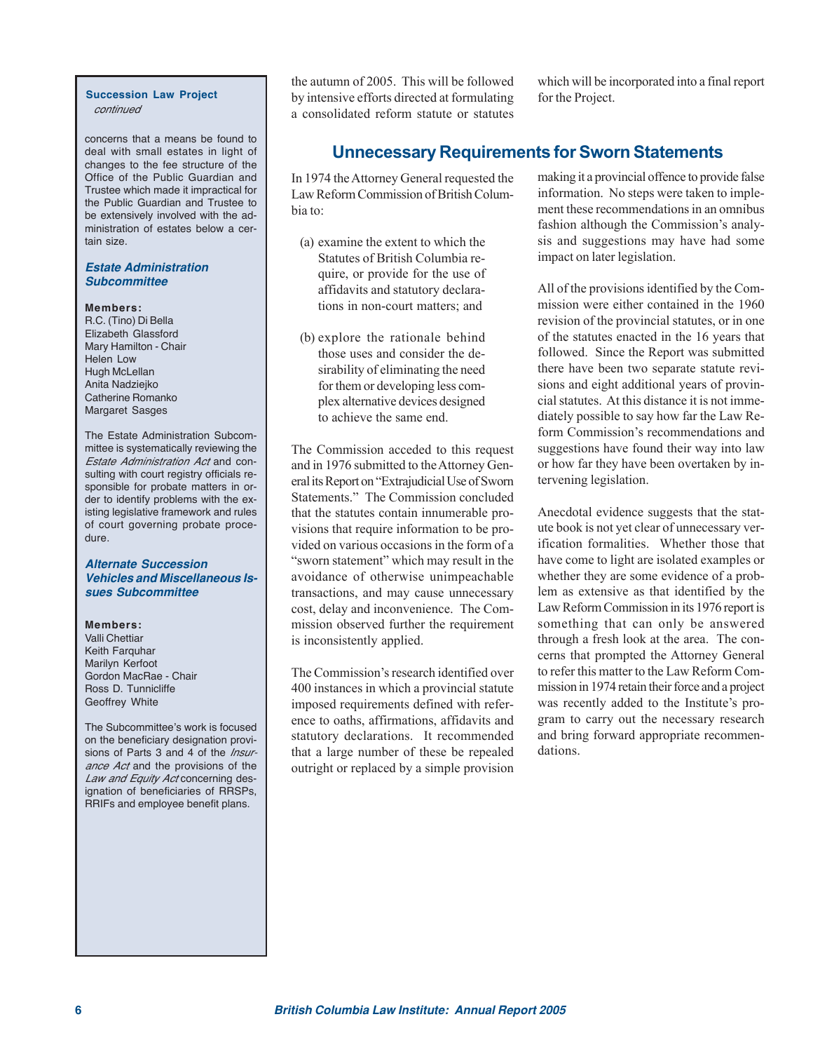#### **Succession Law Project** continued

concerns that a means be found to deal with small estates in light of changes to the fee structure of the Office of the Public Guardian and Trustee which made it impractical for the Public Guardian and Trustee to be extensively involved with the administration of estates below a certain size.

#### **Estate Administration Subcommittee**

#### **Members:**

R.C. (Tino) Di Bella Elizabeth Glassford Mary Hamilton - Chair Helen Low Hugh McLellan Anita Nadziejko Catherine Romanko Margaret Sasges

The Estate Administration Subcommittee is systematically reviewing the Estate Administration Act and consulting with court registry officials responsible for probate matters in order to identify problems with the existing legislative framework and rules of court governing probate procedure.

#### **Alternate Succession Vehicles and Miscellaneous Issues Subcommittee**

#### **Members:**

Valli Chettiar Keith Farquhar Marilyn Kerfoot Gordon MacRae - Chair Ross D. Tunnicliffe Geoffrey White

The Subcommittee's work is focused on the beneficiary designation provisions of Parts 3 and 4 of the Insurance Act and the provisions of the Law and Equity Act concerning designation of beneficiaries of RRSPs, RRIFs and employee benefit plans.

the autumn of 2005. This will be followed by intensive efforts directed at formulating a consolidated reform statute or statutes

which will be incorporated into a final report for the Project.

# **Unnecessary Requirements for Sworn Statements**

In 1974 the Attorney General requested the Law Reform Commission of British Columbia to:

- (a) examine the extent to which the Statutes of British Columbia require, or provide for the use of affidavits and statutory declarations in non-court matters; and
- (b) explore the rationale behind those uses and consider the desirability of eliminating the need for them or developing less complex alternative devices designed to achieve the same end.

The Commission acceded to this request and in 1976 submitted to the Attorney General its Report on "Extrajudicial Use of Sworn Statements." The Commission concluded that the statutes contain innumerable provisions that require information to be provided on various occasions in the form of a "sworn statement" which may result in the avoidance of otherwise unimpeachable transactions, and may cause unnecessary cost, delay and inconvenience. The Commission observed further the requirement is inconsistently applied.

The Commission's research identified over 400 instances in which a provincial statute imposed requirements defined with reference to oaths, affirmations, affidavits and statutory declarations. It recommended that a large number of these be repealed outright or replaced by a simple provision

making it a provincial offence to provide false information. No steps were taken to implement these recommendations in an omnibus fashion although the Commission's analysis and suggestions may have had some impact on later legislation.

All of the provisions identified by the Commission were either contained in the 1960 revision of the provincial statutes, or in one of the statutes enacted in the 16 years that followed. Since the Report was submitted there have been two separate statute revisions and eight additional years of provincial statutes. At this distance it is not immediately possible to say how far the Law Reform Commission's recommendations and suggestions have found their way into law or how far they have been overtaken by intervening legislation.

Anecdotal evidence suggests that the statute book is not yet clear of unnecessary verification formalities. Whether those that have come to light are isolated examples or whether they are some evidence of a problem as extensive as that identified by the Law Reform Commission in its 1976 report is something that can only be answered through a fresh look at the area. The concerns that prompted the Attorney General to refer this matter to the Law Reform Commission in 1974 retain their force and a project was recently added to the Institute's program to carry out the necessary research and bring forward appropriate recommendations.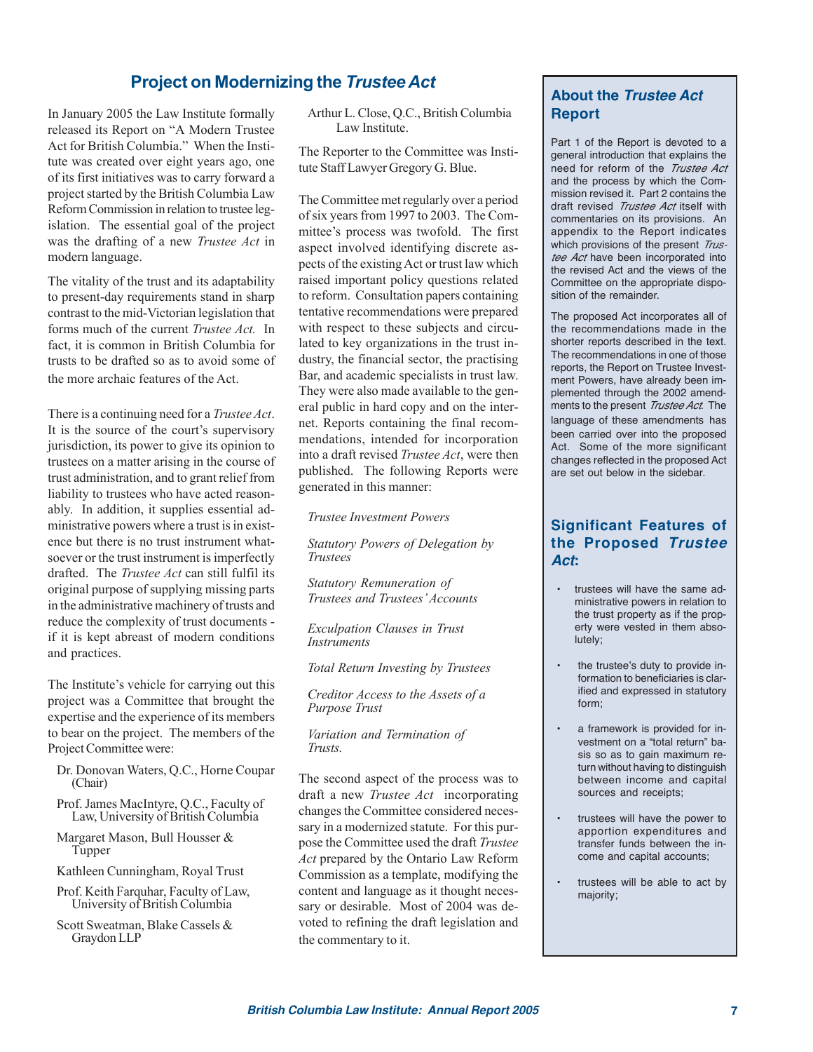# **Project on Modernizing the** *Trustee Act*

In January 2005 the Law Institute formally released its Report on "A Modern Trustee Act for British Columbia." When the Institute was created over eight years ago, one of its first initiatives was to carry forward a project started by the British Columbia Law Reform Commission in relation to trustee legislation. The essential goal of the project was the drafting of a new *Trustee Act* in modern language.

The vitality of the trust and its adaptability to present-day requirements stand in sharp contrast to the mid-Victorian legislation that forms much of the current *Trustee Act.* In fact, it is common in British Columbia for trusts to be drafted so as to avoid some of the more archaic features of the Act.

There is a continuing need for a *Trustee Act*. It is the source of the court's supervisory jurisdiction, its power to give its opinion to trustees on a matter arising in the course of trust administration, and to grant relief from liability to trustees who have acted reasonably. In addition, it supplies essential administrative powers where a trust is in existence but there is no trust instrument whatsoever or the trust instrument is imperfectly drafted. The *Trustee Act* can still fulfil its original purpose of supplying missing parts in the administrative machinery of trusts and reduce the complexity of trust documents if it is kept abreast of modern conditions and practices.

The Institute's vehicle for carrying out this project was a Committee that brought the expertise and the experience of its members to bear on the project. The members of the Project Committee were:

- Dr. Donovan Waters, Q.C., Horne Coupar (Chair)
- Prof. James MacIntyre, Q.C., Faculty of Law, University of British Columbia
- Margaret Mason, Bull Housser & Tupper
- Kathleen Cunningham, Royal Trust
- Prof. Keith Farquhar, Faculty of Law, University of British Columbia
- Scott Sweatman, Blake Cassels & Graydon LLP

Arthur L. Close, Q.C., British Columbia Law Institute.

The Reporter to the Committee was Institute Staff Lawyer Gregory G. Blue.

The Committee met regularly over a period of six years from 1997 to 2003. The Committee's process was twofold. The first aspect involved identifying discrete aspects of the existing Act or trust law which raised important policy questions related to reform. Consultation papers containing tentative recommendations were prepared with respect to these subjects and circulated to key organizations in the trust industry, the financial sector, the practising Bar, and academic specialists in trust law. They were also made available to the general public in hard copy and on the internet. Reports containing the final recommendations, intended for incorporation into a draft revised *Trustee Act*, were then published. The following Reports were generated in this manner:

*Trustee Investment Powers*

*Statutory Powers of Delegation by Trustees*

*Statutory Remuneration of Trustees and Trustees' Accounts*

*Exculpation Clauses in Trust Instruments*

*Total Return Investing by Trustees*

*Creditor Access to the Assets of a Purpose Trust*

*Variation and Termination of Trusts.*

The second aspect of the process was to draft a new *Trustee Act* incorporating changes the Committee considered necessary in a modernized statute. For this purpose the Committee used the draft *Trustee Act* prepared by the Ontario Law Reform Commission as a template, modifying the content and language as it thought necessary or desirable. Most of 2004 was devoted to refining the draft legislation and the commentary to it.

# **About the Trustee Act Report**

Part 1 of the Report is devoted to a general introduction that explains the need for reform of the Trustee Act and the process by which the Commission revised it. Part 2 contains the draft revised Trustee Act itself with commentaries on its provisions. An appendix to the Report indicates which provisions of the present Trustee Act have been incorporated into the revised Act and the views of the Committee on the appropriate disposition of the remainder.

The proposed Act incorporates all of the recommendations made in the shorter reports described in the text. The recommendations in one of those reports, the Report on Trustee Investment Powers, have already been implemented through the 2002 amendments to the present *Trustee Act*. The language of these amendments has been carried over into the proposed Act. Some of the more significant changes reflected in the proposed Act are set out below in the sidebar.

### **Significant Features of the Proposed Trustee Act:**

- trustees will have the same administrative powers in relation to the trust property as if the property were vested in them absolutely;
- the trustee's duty to provide information to beneficiaries is clarified and expressed in statutory form;
- a framework is provided for investment on a "total return" basis so as to gain maximum return without having to distinguish between income and capital sources and receipts;
- trustees will have the power to apportion expenditures and transfer funds between the income and capital accounts;
- trustees will be able to act by majority;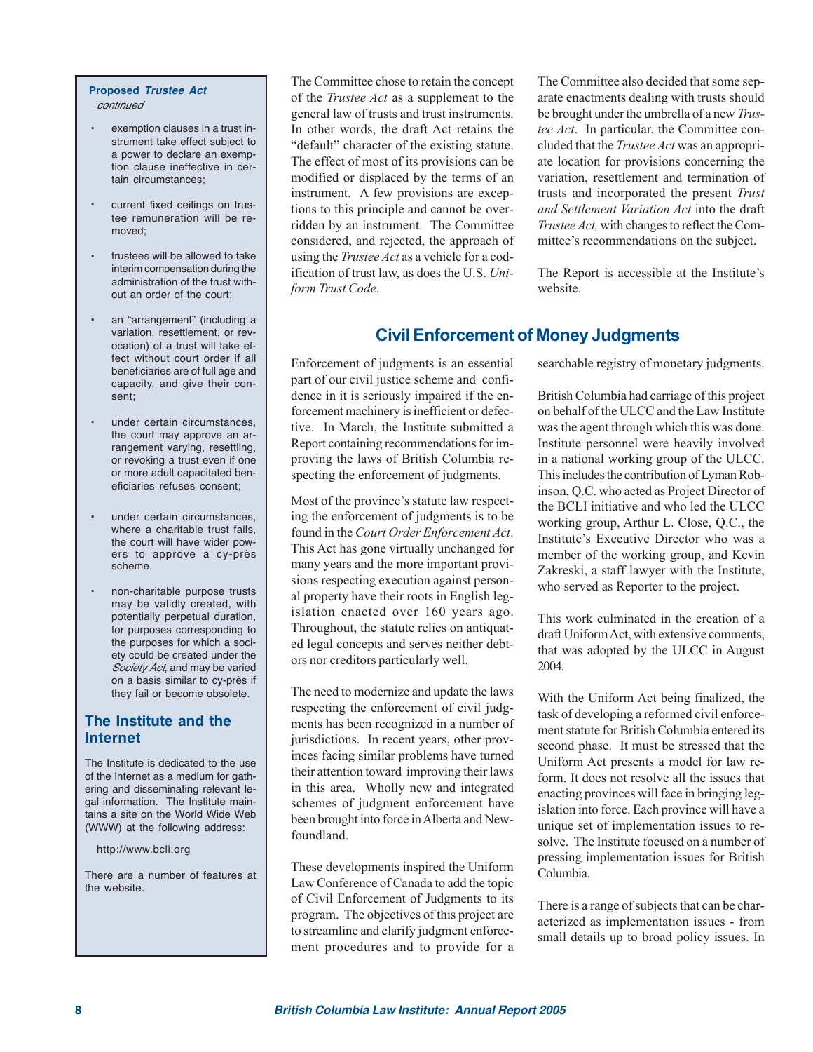#### **Proposed Trustee Act** continued

- exemption clauses in a trust instrument take effect subject to a power to declare an exemption clause ineffective in certain circumstances;
- current fixed ceilings on trustee remuneration will be removed;
- trustees will be allowed to take interim compensation during the administration of the trust without an order of the court;
- an "arrangement" (including a variation, resettlement, or revocation) of a trust will take effect without court order if all beneficiaries are of full age and capacity, and give their consent;
- under certain circumstances. the court may approve an arrangement varying, resettling, or revoking a trust even if one or more adult capacitated beneficiaries refuses consent;
- under certain circumstances, where a charitable trust fails, the court will have wider powers to approve a cy-près scheme.
- non-charitable purpose trusts may be validly created, with potentially perpetual duration, for purposes corresponding to the purposes for which a society could be created under the Society Act, and may be varied on a basis similar to cy-près if they fail or become obsolete.

### **The Institute and the Internet**

The Institute is dedicated to the use of the Internet as a medium for gathering and disseminating relevant legal information. The Institute maintains a site on the World Wide Web (WWW) at the following address:

http://www.bcli.org

There are a number of features at the website.

The Committee chose to retain the concept of the *Trustee Act* as a supplement to the general law of trusts and trust instruments. In other words, the draft Act retains the "default" character of the existing statute. The effect of most of its provisions can be modified or displaced by the terms of an instrument. A few provisions are exceptions to this principle and cannot be overridden by an instrument. The Committee considered, and rejected, the approach of using the *Trustee Act* as a vehicle for a codification of trust law, as does the U.S. *Uniform Trust Code*.

The Committee also decided that some separate enactments dealing with trusts should be brought under the umbrella of a new *Trustee Act*. In particular, the Committee concluded that the *Trustee Act* was an appropriate location for provisions concerning the variation, resettlement and termination of trusts and incorporated the present *Trust and Settlement Variation Act* into the draft *Trustee Act,* with changes to reflect the Committee's recommendations on the subject.

The Report is accessible at the Institute's website.

# **Civil Enforcement of Money Judgments**

Enforcement of judgments is an essential part of our civil justice scheme and confidence in it is seriously impaired if the enforcement machinery is inefficient or defective. In March, the Institute submitted a Report containing recommendations for improving the laws of British Columbia respecting the enforcement of judgments.

Most of the province's statute law respecting the enforcement of judgments is to be found in the *Court Order Enforcement Act*. This Act has gone virtually unchanged for many years and the more important provisions respecting execution against personal property have their roots in English legislation enacted over 160 years ago. Throughout, the statute relies on antiquated legal concepts and serves neither debtors nor creditors particularly well.

The need to modernize and update the laws respecting the enforcement of civil judgments has been recognized in a number of jurisdictions. In recent years, other provinces facing similar problems have turned their attention toward improving their laws in this area. Wholly new and integrated schemes of judgment enforcement have been brought into force in Alberta and Newfoundland.

These developments inspired the Uniform Law Conference of Canada to add the topic of Civil Enforcement of Judgments to its program. The objectives of this project are to streamline and clarify judgment enforcement procedures and to provide for a

searchable registry of monetary judgments.

British Columbia had carriage of this project on behalf of the ULCC and the Law Institute was the agent through which this was done. Institute personnel were heavily involved in a national working group of the ULCC. This includes the contribution of Lyman Robinson, Q.C. who acted as Project Director of the BCLI initiative and who led the ULCC working group, Arthur L. Close, Q.C., the Institute's Executive Director who was a member of the working group, and Kevin Zakreski, a staff lawyer with the Institute, who served as Reporter to the project.

This work culminated in the creation of a draft Uniform Act, with extensive comments, that was adopted by the ULCC in August 2004.

With the Uniform Act being finalized, the task of developing a reformed civil enforcement statute for British Columbia entered its second phase. It must be stressed that the Uniform Act presents a model for law reform. It does not resolve all the issues that enacting provinces will face in bringing legislation into force. Each province will have a unique set of implementation issues to resolve. The Institute focused on a number of pressing implementation issues for British Columbia.

There is a range of subjects that can be characterized as implementation issues - from small details up to broad policy issues. In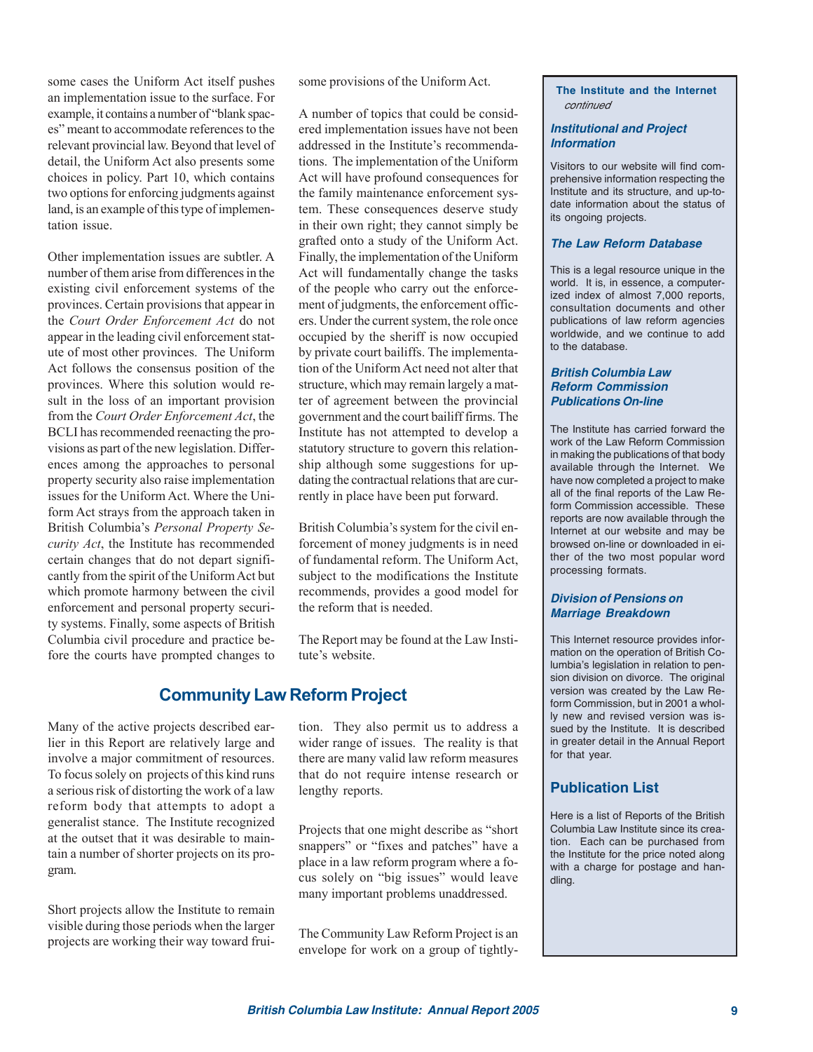some cases the Uniform Act itself pushes an implementation issue to the surface. For example, it contains a number of "blank spaces" meant to accommodate references to the relevant provincial law. Beyond that level of detail, the Uniform Act also presents some choices in policy. Part 10, which contains two options for enforcing judgments against land, is an example of this type of implementation issue.

Other implementation issues are subtler. A number of them arise from differences in the existing civil enforcement systems of the provinces. Certain provisions that appear in the *Court Order Enforcement Act* do not appear in the leading civil enforcement statute of most other provinces. The Uniform Act follows the consensus position of the provinces. Where this solution would result in the loss of an important provision from the *Court Order Enforcement Act*, the BCLI has recommended reenacting the provisions as part of the new legislation. Differences among the approaches to personal property security also raise implementation issues for the Uniform Act. Where the Uniform Act strays from the approach taken in British Columbia's *Personal Property Security Act*, the Institute has recommended certain changes that do not depart significantly from the spirit of the Uniform Act but which promote harmony between the civil enforcement and personal property security systems. Finally, some aspects of British Columbia civil procedure and practice before the courts have prompted changes to

some provisions of the Uniform Act.

A number of topics that could be considered implementation issues have not been addressed in the Institute's recommendations. The implementation of the Uniform Act will have profound consequences for the family maintenance enforcement system. These consequences deserve study in their own right; they cannot simply be grafted onto a study of the Uniform Act. Finally, the implementation of the Uniform Act will fundamentally change the tasks of the people who carry out the enforcement of judgments, the enforcement officers. Under the current system, the role once occupied by the sheriff is now occupied by private court bailiffs. The implementation of the Uniform Act need not alter that structure, which may remain largely a matter of agreement between the provincial government and the court bailiff firms. The Institute has not attempted to develop a statutory structure to govern this relationship although some suggestions for updating the contractual relations that are currently in place have been put forward.

British Columbia's system for the civil enforcement of money judgments is in need of fundamental reform. The Uniform Act, subject to the modifications the Institute recommends, provides a good model for the reform that is needed.

The Report may be found at the Law Institute's website.

# **Community Law Reform Project**

Many of the active projects described earlier in this Report are relatively large and involve a major commitment of resources. To focus solely on projects of this kind runs a serious risk of distorting the work of a law reform body that attempts to adopt a generalist stance. The Institute recognized at the outset that it was desirable to maintain a number of shorter projects on its program.

Short projects allow the Institute to remain visible during those periods when the larger projects are working their way toward fruition. They also permit us to address a wider range of issues. The reality is that there are many valid law reform measures that do not require intense research or lengthy reports.

Projects that one might describe as "short snappers" or "fixes and patches" have a place in a law reform program where a focus solely on "big issues" would leave many important problems unaddressed.

The Community Law Reform Project is an envelope for work on a group of tightly**The Institute and the Internet** continued

#### **Institutional and Project Information**

Visitors to our website will find comprehensive information respecting the Institute and its structure, and up-todate information about the status of its ongoing projects.

#### **The Law Reform Database**

This is a legal resource unique in the world. It is, in essence, a computerized index of almost 7,000 reports, consultation documents and other publications of law reform agencies worldwide, and we continue to add to the database.

#### **British Columbia Law Reform Commission Publications On-line**

The Institute has carried forward the work of the Law Reform Commission in making the publications of that body available through the Internet. We have now completed a project to make all of the final reports of the Law Reform Commission accessible. These reports are now available through the Internet at our website and may be browsed on-line or downloaded in either of the two most popular word processing formats.

#### **Division of Pensions on Marriage Breakdown**

This Internet resource provides information on the operation of British Columbia's legislation in relation to pension division on divorce. The original version was created by the Law Reform Commission, but in 2001 a wholly new and revised version was issued by the Institute. It is described in greater detail in the Annual Report for that year.

### **Publication List**

Here is a list of Reports of the British Columbia Law Institute since its creation. Each can be purchased from the Institute for the price noted along with a charge for postage and handling.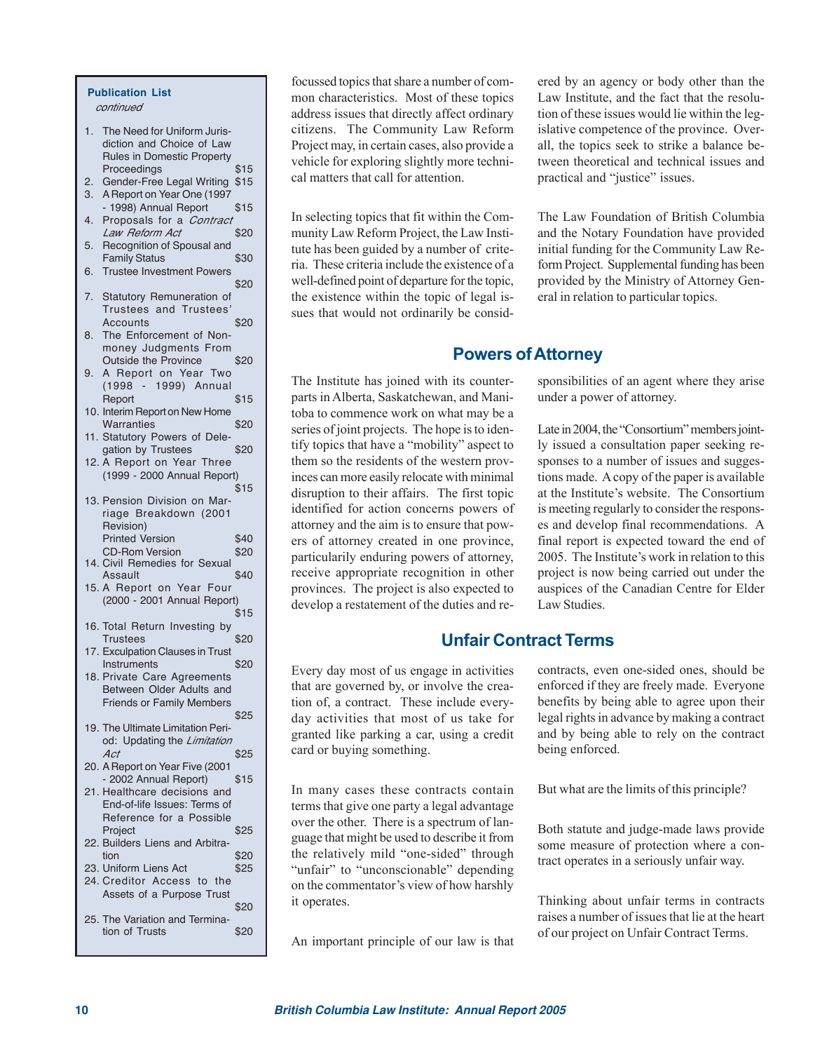#### **Publication List** continued

- 1. The Need for Uniform Jurisdiction and Choice of Law Rules in Domestic Property Proceedings \$15
- 2. Gender-Free Legal Writing \$15 3. A Report on Year One (1997
- 1998) Annual Report \$15
- 4. Proposals for a *Contract*<br>*Law Beform Act* \$20 Law Reform Act
- 5. Recognition of Spousal and Family Status \$30
- 6. Trustee Investment Powers \$20
- 7. Statutory Remuneration of Trustees and Trustees' Accounts \$20
- 8. The Enforcement of Nonmoney Judgments From Outside the Province \$20
- 9. A Report on Year Two (1998 - 1999) Annual Report \$15
- 10. Interim Report on New Home
- Warranties \$20 11. Statutory Powers of Delegation by Trustees \$20 12. A Report on Year Three
- (1999 2000 Annual Report) \$15 13. Pension Division on Mar-
- riage Breakdown (2001 Revision) Printed Version \$40 CD-Rom Version \$20 14. Civil Remedies for Sexual
- Assault \$40 15. A Report on Year Four (2000 - 2001 Annual Report) \$15
- 16. Total Return Investing by Trustees \$20
- 17. Exculpation Clauses in Trust Instruments \$20 18. Private Care Agreements Between Older Adults and Friends or Family Members
- \$25 19. The Ultimate Limitation Period: Updating the Limitation  $Act$   $$25$
- 20. A Report on Year Five (2001 - 2002 Annual Report) \$15 21. Healthcare decisions and
- End-of-life Issues: Terms of Reference for a Possible Project \$25 22. Builders Liens and Arbitra- $\text{tion}$   $$20$ 23. Uniform Liens Act \$25 24. Creditor Access to the
- Assets of a Purpose Trust \$20 25. The Variation and Termination of Trusts \$20

focussed topics that share a number of common characteristics. Most of these topics address issues that directly affect ordinary citizens. The Community Law Reform Project may, in certain cases, also provide a vehicle for exploring slightly more technical matters that call for attention.

In selecting topics that fit within the Community Law Reform Project, the Law Institute has been guided by a number of criteria. These criteria include the existence of a well-defined point of departure for the topic, the existence within the topic of legal issues that would not ordinarily be considered by an agency or body other than the Law Institute, and the fact that the resolution of these issues would lie within the legislative competence of the province. Overall, the topics seek to strike a balance between theoretical and technical issues and practical and "justice" issues.

The Law Foundation of British Columbia and the Notary Foundation have provided initial funding for the Community Law Reform Project. Supplemental funding has been provided by the Ministry of Attorney General in relation to particular topics.

# **Powers of Attorney**

The Institute has joined with its counterparts in Alberta, Saskatchewan, and Manitoba to commence work on what may be a series of joint projects. The hope is to identify topics that have a "mobility" aspect to them so the residents of the western provinces can more easily relocate with minimal disruption to their affairs. The first topic identified for action concerns powers of attorney and the aim is to ensure that powers of attorney created in one province, particularily enduring powers of attorney, receive appropriate recognition in other provinces. The project is also expected to develop a restatement of the duties and re-

sponsibilities of an agent where they arise under a power of attorney.

Late in 2004, the "Consortium" members jointly issued a consultation paper seeking responses to a number of issues and suggestions made. A copy of the paper is available at the Institute's website. The Consortium is meeting regularly to consider the responses and develop final recommendations. A final report is expected toward the end of 2005. The Institute's work in relation to this project is now being carried out under the auspices of the Canadian Centre for Elder Law Studies.

# **Unfair Contract Terms**

Every day most of us engage in activities that are governed by, or involve the creation of, a contract. These include everyday activities that most of us take for granted like parking a car, using a credit card or buying something.

In many cases these contracts contain terms that give one party a legal advantage over the other. There is a spectrum of language that might be used to describe it from the relatively mild "one-sided" through "unfair" to "unconscionable" depending on the commentator's view of how harshly it operates.

An important principle of our law is that

contracts, even one-sided ones, should be enforced if they are freely made. Everyone benefits by being able to agree upon their legal rights in advance by making a contract and by being able to rely on the contract being enforced.

But what are the limits of this principle?

Both statute and judge-made laws provide some measure of protection where a contract operates in a seriously unfair way.

Thinking about unfair terms in contracts raises a number of issues that lie at the heart of our project on Unfair Contract Terms.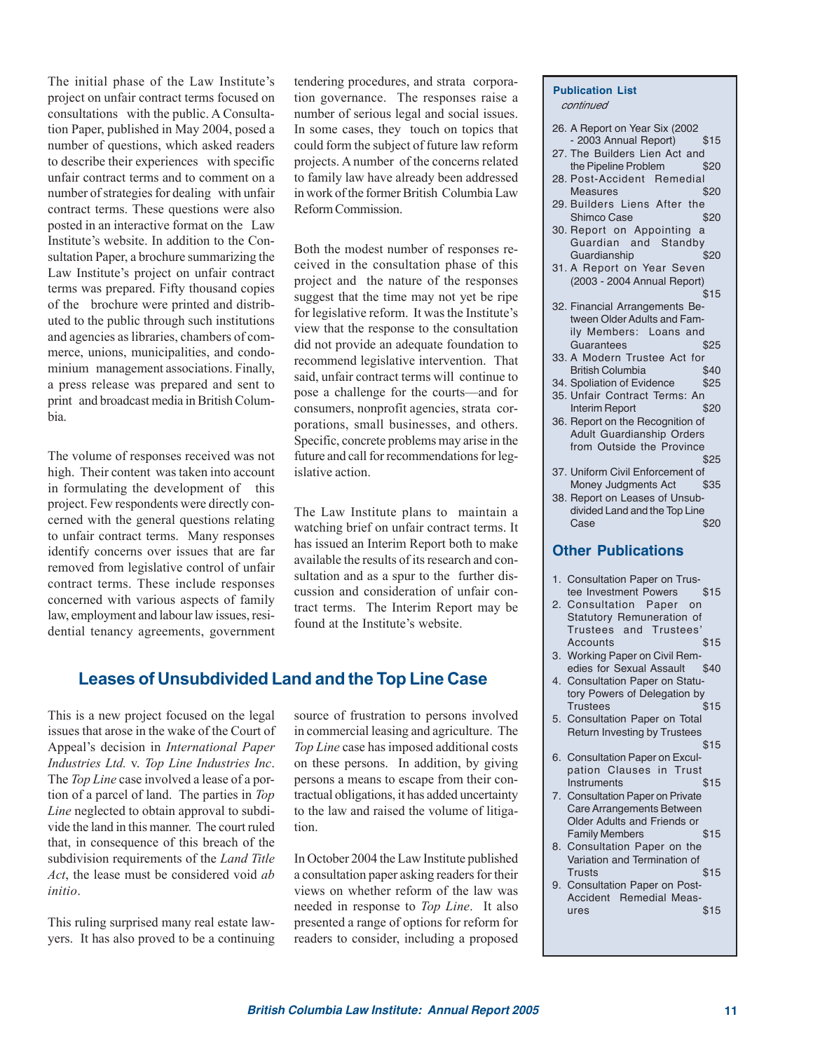The initial phase of the Law Institute's project on unfair contract terms focused on consultations with the public. A Consultation Paper, published in May 2004, posed a number of questions, which asked readers to describe their experiences with specific unfair contract terms and to comment on a number of strategies for dealing with unfair contract terms. These questions were also posted in an interactive format on the Law Institute's website. In addition to the Consultation Paper, a brochure summarizing the Law Institute's project on unfair contract terms was prepared. Fifty thousand copies of the brochure were printed and distributed to the public through such institutions and agencies as libraries, chambers of commerce, unions, municipalities, and condominium management associations. Finally, a press release was prepared and sent to print and broadcast media in British Columbia.

The volume of responses received was not high. Their content was taken into account in formulating the development of this project. Few respondents were directly concerned with the general questions relating to unfair contract terms. Many responses identify concerns over issues that are far removed from legislative control of unfair contract terms. These include responses concerned with various aspects of family law, employment and labour law issues, residential tenancy agreements, government tendering procedures, and strata corporation governance. The responses raise a number of serious legal and social issues. In some cases, they touch on topics that could form the subject of future law reform projects. A number of the concerns related to family law have already been addressed in work of the former British Columbia Law Reform Commission.

Both the modest number of responses received in the consultation phase of this project and the nature of the responses suggest that the time may not yet be ripe for legislative reform. It was the Institute's view that the response to the consultation did not provide an adequate foundation to recommend legislative intervention. That said, unfair contract terms will continue to pose a challenge for the courts—and for consumers, nonprofit agencies, strata corporations, small businesses, and others. Specific, concrete problems may arise in the future and call for recommendations for legislative action.

The Law Institute plans to maintain a watching brief on unfair contract terms. It has issued an Interim Report both to make available the results of its research and consultation and as a spur to the further discussion and consideration of unfair contract terms. The Interim Report may be found at the Institute's website.

# **Leases of Unsubdivided Land and the Top Line Case**

This is a new project focused on the legal issues that arose in the wake of the Court of Appeal's decision in *International Paper Industries Ltd.* v. *Top Line Industries Inc*. The *Top Line* case involved a lease of a portion of a parcel of land. The parties in *Top Line* neglected to obtain approval to subdivide the land in this manner. The court ruled that, in consequence of this breach of the subdivision requirements of the *Land Title Act*, the lease must be considered void *ab initio*.

This ruling surprised many real estate lawyers. It has also proved to be a continuing

source of frustration to persons involved in commercial leasing and agriculture. The *Top Line* case has imposed additional costs on these persons. In addition, by giving persons a means to escape from their contractual obligations, it has added uncertainty to the law and raised the volume of litigation.

In October 2004 the Law Institute published a consultation paper asking readers for their views on whether reform of the law was needed in response to *Top Line*. It also presented a range of options for reform for readers to consider, including a proposed

#### **Publication List** continued

- 26. A Report on Year Six (2002 - 2003 Annual Report) \$15
- 27. The Builders Lien Act and the Pipeline Problem \$20
- 28. Post-Accident Remedial Measures \$20
- 29. Builders Liens After the Shimco Case \$20
- 30. Report on Appointing a Guardian and Standby Guardianship \$20
- 31. A Report on Year Seven (2003 - 2004 Annual Report) \$15
- 32. Financial Arrangements Between Older Adults and Family Members: Loans and Guarantees \$25
- 33. A Modern Trustee Act for<br>British Columbia 540 British Columbia \$40
- 34. Spoliation of Evidence \$25
- 35. Unfair Contract Terms: An Interim Report \$20
- 36. Report on the Recognition of Adult Guardianship Orders from Outside the Province \$25
- 37. Uniform Civil Enforcement of Money Judgments Act \$35
- 38. Report on Leases of Unsubdivided Land and the Top Line Case \$20

#### **Other Publications**

- 1. Consultation Paper on Trustee Investment Powers \$15
- 2. Consultation Paper on Statutory Remuneration of Trustees and Trustees' Accounts \$15
- 3. Working Paper on Civil Remedies for Sexual Assault \$40
- 4. Consultation Paper on Statutory Powers of Delegation by Trustees \$15
- 5. Consultation Paper on Total Return Investing by Trustees \$15
- 6. Consultation Paper on Exculpation Clauses in Trust Instruments \$15
- 7. Consultation Paper on Private Care Arrangements Between Older Adults and Friends or Family Members \$15
- 8. Consultation Paper on the Variation and Termination of Trusts \$15
- 9. Consultation Paper on Post-Accident Remedial Meas $ures$   $$15$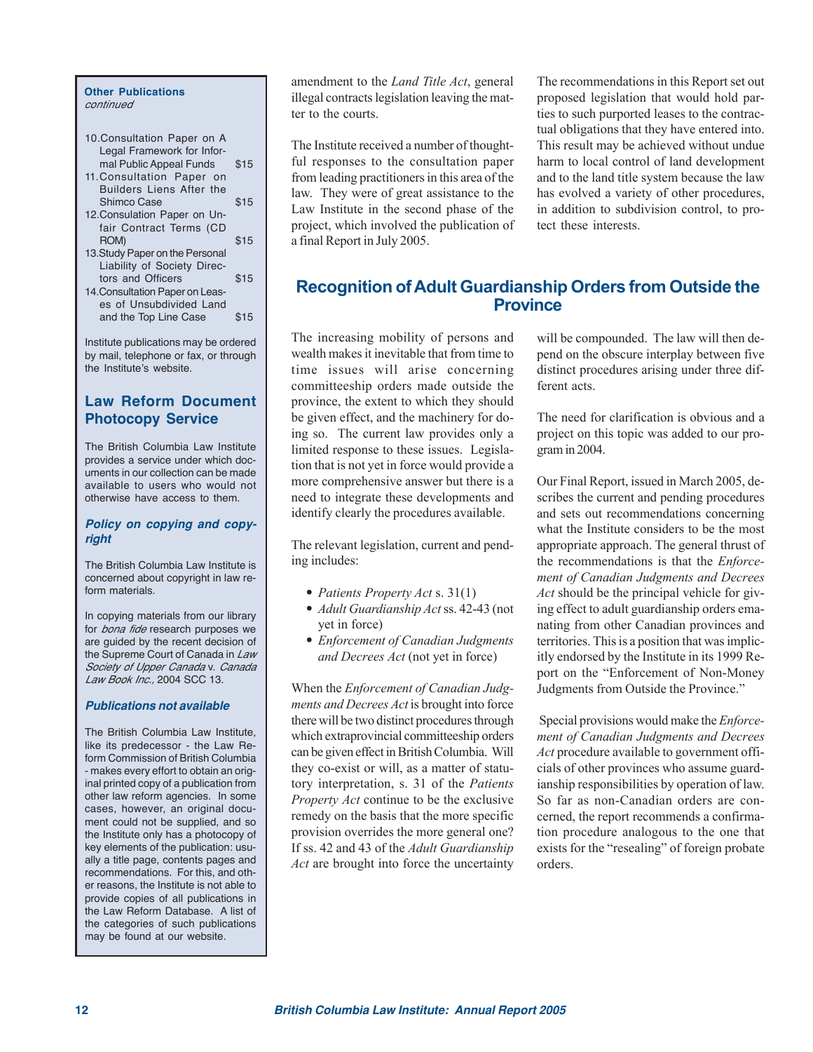#### **Other Publications** continued

| 10. Consultation Paper on A     |      |
|---------------------------------|------|
| Legal Framework for Infor-      |      |
| mal Public Appeal Funds         | \$15 |
| 11. Consultation Paper on       |      |
| <b>Builders Liens After the</b> |      |

- Shimco Case \$15 12.Consulation Paper on Unfair Contract Terms (CD  $ROM$ )  $$15$
- 13.Study Paper on the Personal Liability of Society Directors and Officers \$15
- 14.Consultation Paper on Leases of Unsubdivided Land and the Top Line Case \$15

Institute publications may be ordered by mail, telephone or fax, or through the Institute's website.

### **Law Reform Document Photocopy Service**

The British Columbia Law Institute provides a service under which documents in our collection can be made available to users who would not otherwise have access to them.

#### **Policy on copying and copyright**

The British Columbia Law Institute is concerned about copyright in law reform materials.

In copying materials from our library for *bona fide* research purposes we are guided by the recent decision of the Supreme Court of Canada in Law Society of Upper Canada v. Canada Law Book Inc., 2004 SCC 13.

#### **Publications not available**

The British Columbia Law Institute, like its predecessor - the Law Reform Commission of British Columbia - makes every effort to obtain an original printed copy of a publication from other law reform agencies. In some cases, however, an original document could not be supplied, and so the Institute only has a photocopy of key elements of the publication: usually a title page, contents pages and recommendations. For this, and other reasons, the Institute is not able to provide copies of all publications in the Law Reform Database. A list of the categories of such publications may be found at our website.

amendment to the *Land Title Act*, general illegal contracts legislation leaving the matter to the courts.

The Institute received a number of thoughtful responses to the consultation paper from leading practitioners in this area of the law. They were of great assistance to the Law Institute in the second phase of the project, which involved the publication of a final Report in July 2005.

The recommendations in this Report set out proposed legislation that would hold parties to such purported leases to the contractual obligations that they have entered into. This result may be achieved without undue harm to local control of land development and to the land title system because the law has evolved a variety of other procedures, in addition to subdivision control, to protect these interests.

# **Recognition of Adult Guardianship Orders from Outside the Province**

The increasing mobility of persons and wealth makes it inevitable that from time to time issues will arise concerning committeeship orders made outside the province, the extent to which they should be given effect, and the machinery for doing so. The current law provides only a limited response to these issues. Legislation that is not yet in force would provide a more comprehensive answer but there is a need to integrate these developments and identify clearly the procedures available.

The relevant legislation, current and pending includes:

- *• Patients Property Act* s. 31(1)
- *• Adult Guardianship Act*ss. 42-43 (not yet in force)
- *• Enforcement of Canadian Judgments and Decrees Act* (not yet in force)

When the *Enforcement of Canadian Judgments and Decrees Act* is brought into force there will be two distinct procedures through which extraprovincial committeeship orders can be given effect in British Columbia. Will they co-exist or will, as a matter of statutory interpretation, s. 31 of the *Patients Property Act* continue to be the exclusive remedy on the basis that the more specific provision overrides the more general one? If ss. 42 and 43 of the *Adult Guardianship Act* are brought into force the uncertainty

will be compounded. The law will then depend on the obscure interplay between five distinct procedures arising under three different acts.

The need for clarification is obvious and a project on this topic was added to our program in 2004.

Our Final Report, issued in March 2005, describes the current and pending procedures and sets out recommendations concerning what the Institute considers to be the most appropriate approach. The general thrust of the recommendations is that the *Enforcement of Canadian Judgments and Decrees Act* should be the principal vehicle for giving effect to adult guardianship orders emanating from other Canadian provinces and territories. This is a position that was implicitly endorsed by the Institute in its 1999 Report on the "Enforcement of Non-Money Judgments from Outside the Province."

Special provisions would make the *Enforcement of Canadian Judgments and Decrees Act* procedure available to government officials of other provinces who assume guardianship responsibilities by operation of law. So far as non-Canadian orders are concerned, the report recommends a confirmation procedure analogous to the one that exists for the "resealing" of foreign probate orders.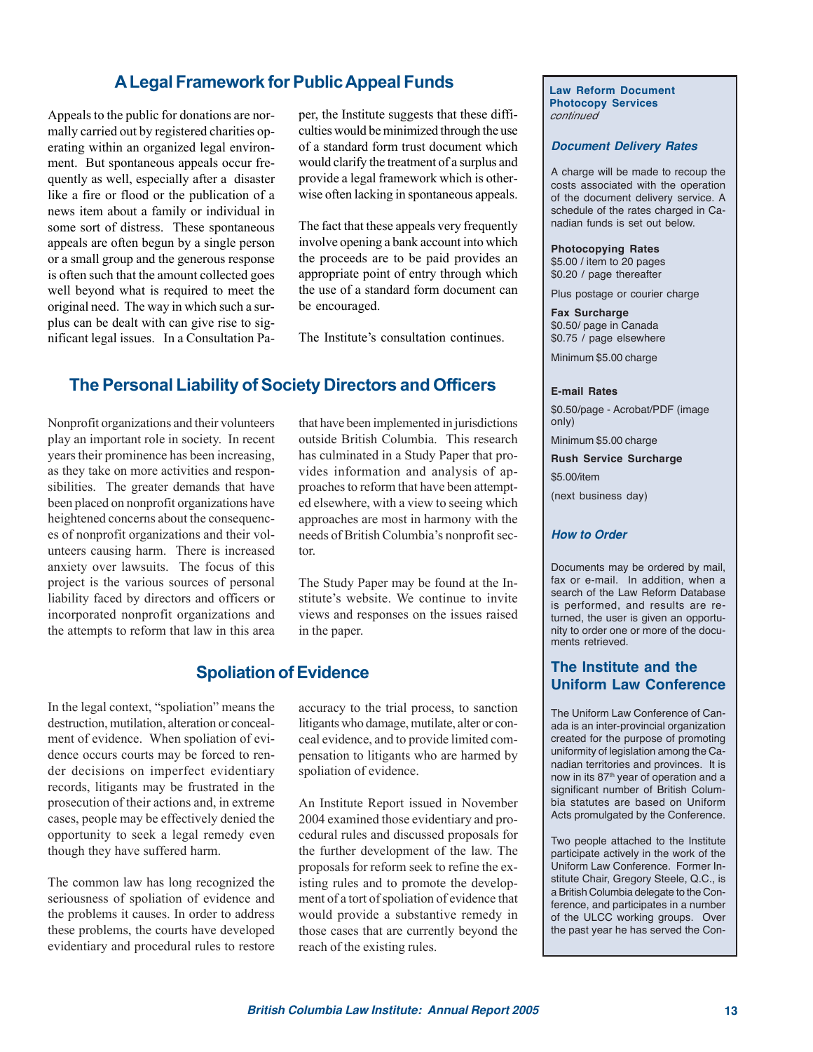# **A Legal Framework for Public Appeal Funds**

Appeals to the public for donations are normally carried out by registered charities operating within an organized legal environment. But spontaneous appeals occur frequently as well, especially after a disaster like a fire or flood or the publication of a news item about a family or individual in some sort of distress. These spontaneous appeals are often begun by a single person or a small group and the generous response is often such that the amount collected goes well beyond what is required to meet the original need. The way in which such a surplus can be dealt with can give rise to significant legal issues. In a Consultation Paper, the Institute suggests that these difficulties would be minimized through the use of a standard form trust document which would clarify the treatment of a surplus and provide a legal framework which is otherwise often lacking in spontaneous appeals.

The fact that these appeals very frequently involve opening a bank account into which the proceeds are to be paid provides an appropriate point of entry through which the use of a standard form document can be encouraged.

The Institute's consultation continues.

# **The Personal Liability of Society Directors and Officers**

Nonprofit organizations and their volunteers play an important role in society. In recent years their prominence has been increasing, as they take on more activities and responsibilities. The greater demands that have been placed on nonprofit organizations have heightened concerns about the consequences of nonprofit organizations and their volunteers causing harm. There is increased anxiety over lawsuits. The focus of this project is the various sources of personal liability faced by directors and officers or incorporated nonprofit organizations and the attempts to reform that law in this area that have been implemented in jurisdictions outside British Columbia. This research has culminated in a Study Paper that provides information and analysis of approaches to reform that have been attempted elsewhere, with a view to seeing which approaches are most in harmony with the needs of British Columbia's nonprofit sector.

The Study Paper may be found at the Institute's website. We continue to invite views and responses on the issues raised in the paper.

# **Spoliation of Evidence**

In the legal context, "spoliation" means the destruction, mutilation, alteration or concealment of evidence. When spoliation of evidence occurs courts may be forced to render decisions on imperfect evidentiary records, litigants may be frustrated in the prosecution of their actions and, in extreme cases, people may be effectively denied the opportunity to seek a legal remedy even though they have suffered harm.

The common law has long recognized the seriousness of spoliation of evidence and the problems it causes. In order to address these problems, the courts have developed evidentiary and procedural rules to restore

accuracy to the trial process, to sanction litigants who damage, mutilate, alter or conceal evidence, and to provide limited compensation to litigants who are harmed by spoliation of evidence.

An Institute Report issued in November 2004 examined those evidentiary and procedural rules and discussed proposals for the further development of the law. The proposals for reform seek to refine the existing rules and to promote the development of a tort of spoliation of evidence that would provide a substantive remedy in those cases that are currently beyond the reach of the existing rules.

**Law Reform Document Photocopy Services** continued

#### **Document Delivery Rates**

A charge will be made to recoup the costs associated with the operation of the document delivery service. A schedule of the rates charged in Canadian funds is set out below.

**Photocopying Rates** \$5.00 / item to 20 pages \$0.20 / page thereafter

Plus postage or courier charge

**Fax Surcharge** \$0.50/ page in Canada \$0.75 / page elsewhere

Minimum \$5.00 charge

#### **E-mail Rates**

\$0.50/page - Acrobat/PDF (image only)

Minimum \$5.00 charge

**Rush Service Surcharge** \$5.00/item

(next business day)

#### **How to Order**

Documents may be ordered by mail, fax or e-mail. In addition, when a search of the Law Reform Database is performed, and results are returned, the user is given an opportunity to order one or more of the documents retrieved.

### **The Institute and the Uniform Law Conference**

The Uniform Law Conference of Canada is an inter-provincial organization created for the purpose of promoting uniformity of legislation among the Canadian territories and provinces. It is now in its 87<sup>th</sup> year of operation and a significant number of British Columbia statutes are based on Uniform Acts promulgated by the Conference.

Two people attached to the Institute participate actively in the work of the Uniform Law Conference. Former Institute Chair, Gregory Steele, Q.C., is a British Columbia delegate to the Conference, and participates in a number of the ULCC working groups. Over the past year he has served the Con-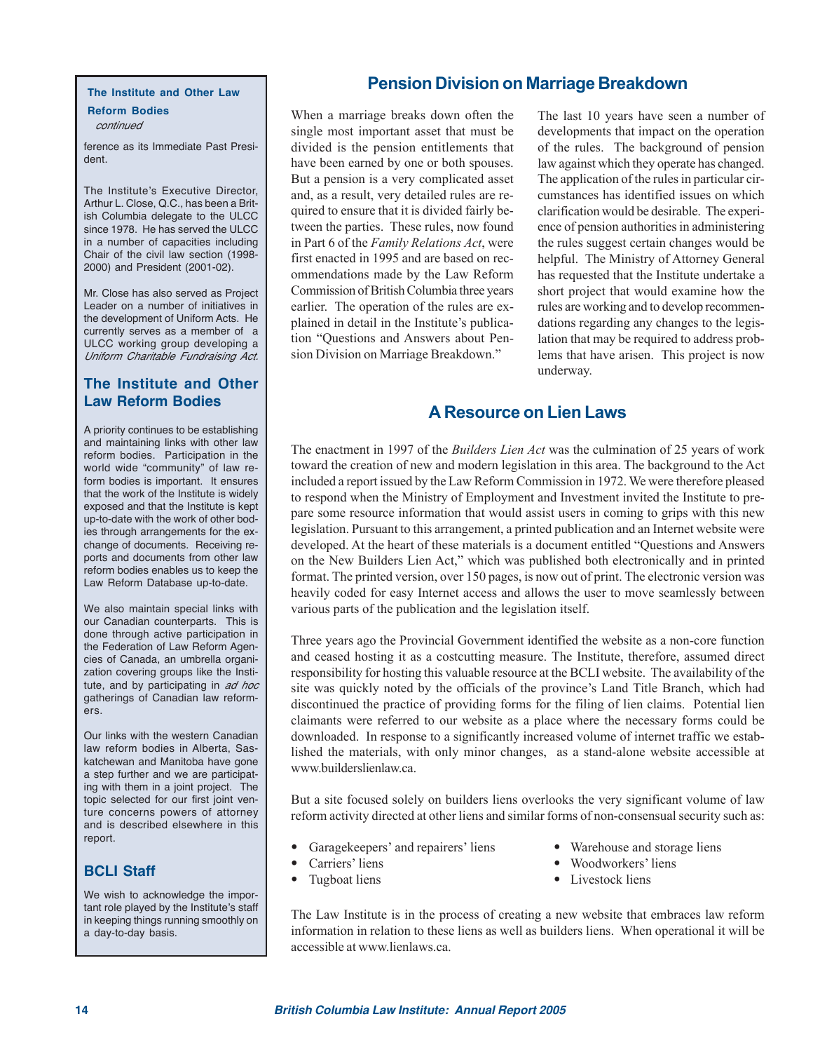#### **The Institute and Other Law**

**Reform Bodies** continued

ference as its Immediate Past President.

The Institute's Executive Director, Arthur L. Close, Q.C., has been a British Columbia delegate to the ULCC since 1978. He has served the ULCC in a number of capacities including Chair of the civil law section (1998- 2000) and President (2001-02).

Mr. Close has also served as Project Leader on a number of initiatives in the development of Uniform Acts. He currently serves as a member of a ULCC working group developing a Uniform Charitable Fundraising Act.

### **The Institute and Other Law Reform Bodies**

A priority continues to be establishing and maintaining links with other law reform bodies. Participation in the world wide "community" of law reform bodies is important. It ensures that the work of the Institute is widely exposed and that the Institute is kept up-to-date with the work of other bodies through arrangements for the exchange of documents. Receiving reports and documents from other law reform bodies enables us to keep the Law Reform Database up-to-date.

We also maintain special links with our Canadian counterparts. This is done through active participation in the Federation of Law Reform Agencies of Canada, an umbrella organization covering groups like the Institute, and by participating in ad hoc gatherings of Canadian law reformers.

Our links with the western Canadian law reform bodies in Alberta, Saskatchewan and Manitoba have gone a step further and we are participating with them in a joint project. The topic selected for our first joint venture concerns powers of attorney and is described elsewhere in this report.

### **BCLI Staff**

We wish to acknowledge the important role played by the Institute's staff in keeping things running smoothly on a day-to-day basis.

# **Pension Division on Marriage Breakdown**

When a marriage breaks down often the single most important asset that must be divided is the pension entitlements that have been earned by one or both spouses. But a pension is a very complicated asset and, as a result, very detailed rules are required to ensure that it is divided fairly between the parties. These rules, now found in Part 6 of the *Family Relations Act*, were first enacted in 1995 and are based on recommendations made by the Law Reform Commission of British Columbia three years earlier. The operation of the rules are explained in detail in the Institute's publication "Questions and Answers about Pension Division on Marriage Breakdown."

The last 10 years have seen a number of developments that impact on the operation of the rules. The background of pension law against which they operate has changed. The application of the rules in particular circumstances has identified issues on which clarification would be desirable. The experience of pension authorities in administering the rules suggest certain changes would be helpful. The Ministry of Attorney General has requested that the Institute undertake a short project that would examine how the rules are working and to develop recommendations regarding any changes to the legislation that may be required to address problems that have arisen. This project is now underway.

# **A Resource on Lien Laws**

The enactment in 1997 of the *Builders Lien Act* was the culmination of 25 years of work toward the creation of new and modern legislation in this area. The background to the Act included a report issued by the Law Reform Commission in 1972. We were therefore pleased to respond when the Ministry of Employment and Investment invited the Institute to prepare some resource information that would assist users in coming to grips with this new legislation. Pursuant to this arrangement, a printed publication and an Internet website were developed. At the heart of these materials is a document entitled "Questions and Answers on the New Builders Lien Act," which was published both electronically and in printed format. The printed version, over 150 pages, is now out of print. The electronic version was heavily coded for easy Internet access and allows the user to move seamlessly between various parts of the publication and the legislation itself.

Three years ago the Provincial Government identified the website as a non-core function and ceased hosting it as a costcutting measure. The Institute, therefore, assumed direct responsibility for hosting this valuable resource at the BCLI website. The availability of the site was quickly noted by the officials of the province's Land Title Branch, which had discontinued the practice of providing forms for the filing of lien claims. Potential lien claimants were referred to our website as a place where the necessary forms could be downloaded. In response to a significantly increased volume of internet traffic we established the materials, with only minor changes, as a stand-alone website accessible at www.builderslienlaw.ca.

But a site focused solely on builders liens overlooks the very significant volume of law reform activity directed at other liens and similar forms of non-consensual security such as:

- Garagekeepers' and repairers' liens Warehouse and storage liens
- 
- 
- 
- 
- *•* Carriers' liens *•* Woodworkers' liens
- 
- 
- 
- *•* Tugboat liens *•* Livestock liens

The Law Institute is in the process of creating a new website that embraces law reform information in relation to these liens as well as builders liens. When operational it will be accessible at www.lienlaws.ca.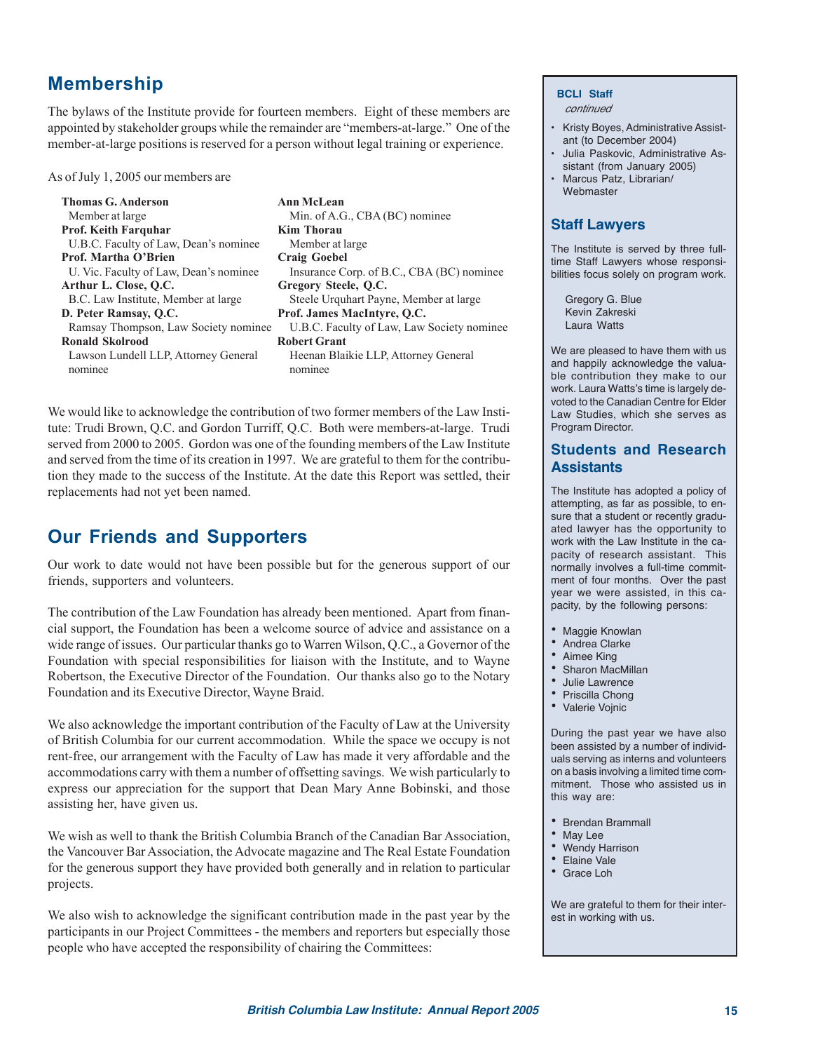# **Membership**

The bylaws of the Institute provide for fourteen members. Eight of these members are appointed by stakeholder groups while the remainder are "members-at-large." One of the member-at-large positions is reserved for a person without legal training or experience.

As of July 1, 2005 our members are

**Thomas G. Anderson Ann McLean** Member at large Min. of A.G., CBA (BC) nominee **Prof. Keith Farquhar Kim Thorau** U.B.C. Faculty of Law, Dean's nominee Member at large Prof. Martha O'Brien Craig Goebel **Arthur L. Close, Q.C. Gregory Steele, Q.C.** B.C. Law Institute, Member at large Steele Urquhart Payne, Member at large **D. Peter Ramsay, Q.C. Prof. James MacIntyre, Q.C. Ronald Skolrood Robert Grant** Lawson Lundell LLP, Attorney General Heenan Blaikie LLP, Attorney General nominee nominee

U. Vic. Faculty of Law, Dean's nominee Insurance Corp. of B.C., CBA (BC) nominee Ramsay Thompson, Law Society nominee U.B.C. Faculty of Law, Law Society nominee

We would like to acknowledge the contribution of two former members of the Law Institute: Trudi Brown, Q.C. and Gordon Turriff, Q.C. Both were members-at-large. Trudi served from 2000 to 2005. Gordon was one of the founding members of the Law Institute and served from the time of its creation in 1997. We are grateful to them for the contribution they made to the success of the Institute. At the date this Report was settled, their replacements had not yet been named.

# **Our Friends and Supporters**

Our work to date would not have been possible but for the generous support of our friends, supporters and volunteers.

The contribution of the Law Foundation has already been mentioned. Apart from financial support, the Foundation has been a welcome source of advice and assistance on a wide range of issues. Our particular thanks go to Warren Wilson, Q.C., a Governor of the Foundation with special responsibilities for liaison with the Institute, and to Wayne Robertson, the Executive Director of the Foundation. Our thanks also go to the Notary Foundation and its Executive Director, Wayne Braid.

We also acknowledge the important contribution of the Faculty of Law at the University of British Columbia for our current accommodation. While the space we occupy is not rent-free, our arrangement with the Faculty of Law has made it very affordable and the accommodations carry with them a number of offsetting savings. We wish particularly to express our appreciation for the support that Dean Mary Anne Bobinski, and those assisting her, have given us.

We wish as well to thank the British Columbia Branch of the Canadian Bar Association, the Vancouver Bar Association, the Advocate magazine and The Real Estate Foundation for the generous support they have provided both generally and in relation to particular projects.

We also wish to acknowledge the significant contribution made in the past year by the participants in our Project Committees - the members and reporters but especially those people who have accepted the responsibility of chairing the Committees:

#### **BCLI Staff**

continued

- Kristy Boyes, Administrative Assistant (to December 2004)
- Julia Paskovic, Administrative Assistant (from January 2005)
- Marcus Patz, Librarian/ Webmaster

### **Staff Lawyers**

The Institute is served by three fulltime Staff Lawyers whose responsibilities focus solely on program work.

Gregory G. Blue Kevin Zakreski Laura Watts

We are pleased to have them with us and happily acknowledge the valuable contribution they make to our work. Laura Watts's time is largely devoted to the Canadian Centre for Elder Law Studies, which she serves as Program Director.

# **Students and Research Assistants**

The Institute has adopted a policy of attempting, as far as possible, to ensure that a student or recently graduated lawyer has the opportunity to work with the Law Institute in the capacity of research assistant. This normally involves a full-time commitment of four months. Over the past year we were assisted, in this capacity, by the following persons:

- Maggie Knowlan
- Andrea Clarke
- Aimee King
- Sharon MacMillan
- Julie Lawrence
- Priscilla Chong
- Valerie Vojnic

During the past year we have also been assisted by a number of individuals serving as interns and volunteers on a basis involving a limited time commitment. Those who assisted us in this way are:

- Brendan Brammall
- May Lee
- Wendy Harrison
- Elaine Vale
- Grace Loh

We are grateful to them for their interest in working with us.